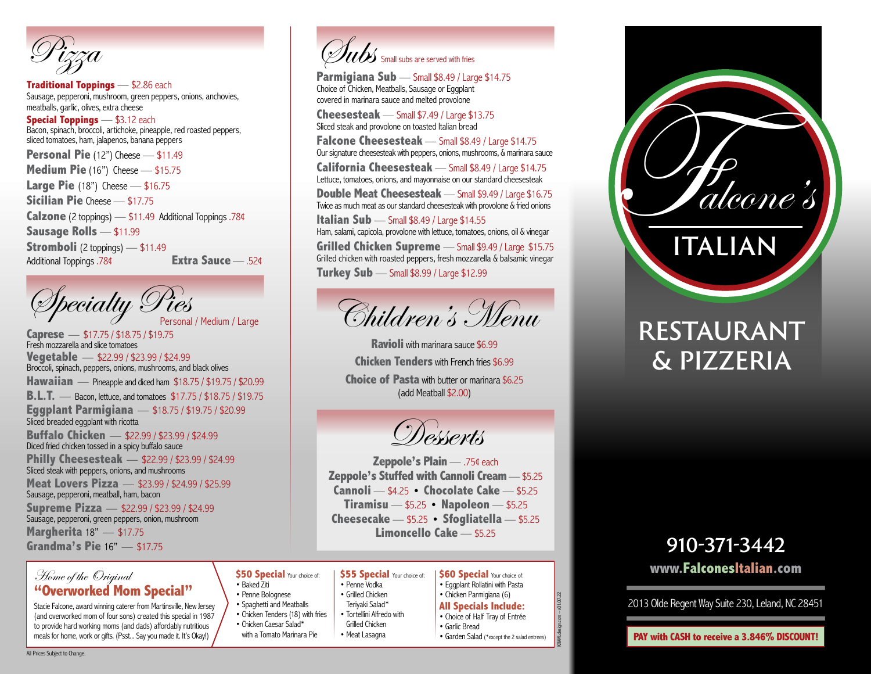Pizza

**Traditional Toppings** — \$2.86 each Sausage, pepperoni, mushroom, green peppers, onions, anchovies, meatballs, garlic, olives, extra cheese

**Special Toppings** — \$3.12 each Bacon, spinach, broccoli, artichoke, pineapple, red roasted peppers, sliced tomatoes, ham, jalapenos, banana peppers

**Personal Pie** (12") Cheese — \$11.49 **Medium Pie** (16") Cheese — \$15.75

**Large Pie** (18") Cheese — \$16.75

**Sicilian Pie** Cheese — \$17.75

**Calzone** (2 toppings) — \$11.49 Additional Toppings .78¢

**Sausage Rolls** — \$11.99

**Stromboli** (2 toppings) — \$11.49 Additional Toppings .78¢ **Extra Sauce** — .52¢



**Caprese** —\$17.75 / \$18.75 / \$19.75 Fresh mozzarella and slice tomatoes **Vegetable** —\$22.99 / \$23.99 / \$24.99 Broccoli, spinach, peppers, onions, mushrooms, and black olives **Hawaiian** — Pineapple and diced ham  $$18.75 / $19.75 / $20.99$ **B.L.T.** —Bacon, lettuce, and tomatoes \$17.75 / \$18.75 / \$19.75 **Eggplant Parmigiana** —\$18.75 / \$19.75 / \$20.99 Sliced breaded eggplant with ricotta **Buffalo Chicken** —\$22.99 / \$23.99 / \$24.99 Diced fried chicken tossed in a spicy buffalo sauce **Philly Cheesesteak** —\$22.99 / \$23.99 / \$24.99 Sliced steak with peppers, onions, and mushrooms **Meat Lovers Pizza** —\$23.99 / \$24.99 / \$25.99 Sausage, pepperoni, meatball, ham, bacon **Supreme Pizza** —\$22.99 / \$23.99 / \$24.99 Sausage, pepperoni, green peppers, onion, mushroom

**Margherita** 18"—\$17.75 **Grandma's Pie** 16"—\$17.75

### Home of the Original **"Overworked Mom Special"**

Stacie Falcone, award winning caterer from Martinsville, New Jersey (and overworked mom of four sons) created this special in 1987 to provide hard working moms (and dads) affordably nutritious meals for home, work or gifts. (Psst... Say you made it. It's Okay!)



Parmigiana Sub - Small \$8.49 / Large \$14.75 Choice of Chicken, Meatballs, Sausage or Eggplant covered in marinara sauce and melted provolone

**Cheesesteak** — Small \$7.49 / Large \$13.75 Sliced steak and provolone on toasted Italian bread

**Falcone Cheesesteak** — Small \$8.49 / Large \$14.75 Our signature cheesesteak with peppers, onions, mushrooms, & marinara sauce

**California Cheesesteak** — Small \$8.49 / Large \$14.75 Lettuce, tomatoes, onions, and mayonnaise on our standard cheesesteak

**Double Meat Cheesesteak** — Small \$9.49 / Large \$16.75 Twice as much meat as our standard cheesesteak with provolone & fried onions

**Italian Sub** — Small \$8.49 / Large \$14.55 Ham, salami, capicola, provolone with lettuce, tomatoes, onions, oil & vinegar

**Grilled Chicken Supreme** — Small \$9.49 / Large \$15.75 Grilled chicken with roasted peppers, fresh mozzarella & balsamic vinegar

**Turkey Sub** — Small \$8.99 / Large \$12.99



**Ravioli** with marinara sauce \$6.99 **Chicken Tenders** with French fries \$6.99 **Choice of Pasta** with butter or marinara \$6.25 (add Meatball \$2.00)

Desserts

**Zeppole's Plain** — .75¢ each **Zeppole's Stuffed with Cannoli Cream** — \$5.25 **Cannoli** — \$4.25 **• Chocolate Cake** — \$5.25 **Tiramisu** — \$5.25 **• Napoleon** — \$5.25 **Cheesecake** — \$5.25 **• Sfogliatella** — \$5.25 **Limoncello Cake** — \$5.25

#### **\$50 Special Your choice of:** • Baked Ziti

• Penne Bolognese • Penne Vodka • Grilled Chicken

• Teriyaki Salad\*

Grilled Chicken • Meat Lasagna

- Spaghetti and Meatballs • Tortellini Alfredo with
- Chicken Tenders (18) with fries • Chicken Caesar Salad\*
- with a Tomato Marinara Pie

**\$55 Special Your choice of: \$60 Special Your choice of:** • Eggplant Rollatini with Pasta

- Chicken Parmigiana (6)
	- **All Specials Include:**
	- Choice of Half Tray of Entrée
		- Garlic Bread
		- Garden Salad (\*except the 2 salad entrees)

KRAMLdesign.com – v01.07.22

 $-01.07.22$ 



## **RESTAURANT & PIZZERIA**

## **910-371-3442 www.FalconesItalian.com**

2013 Olde Regent Way Suite 230, Leland, NC 28451